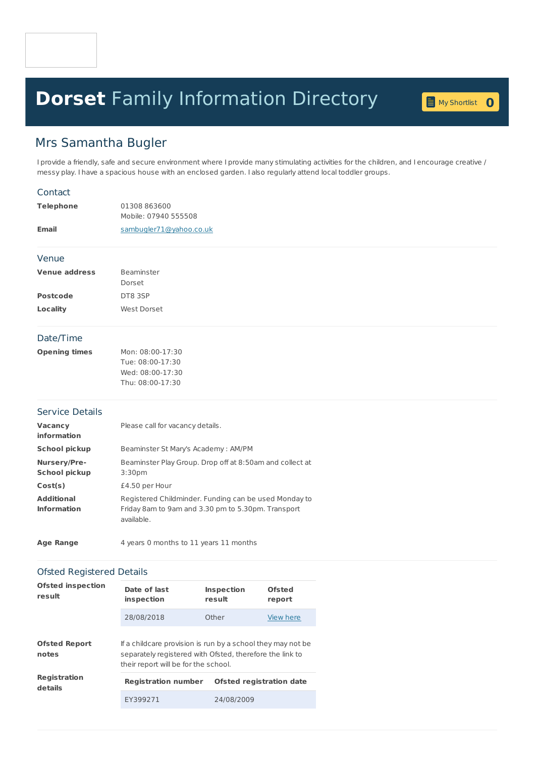# **Dorset** Family [Information](home.page) Directory **<sup>0</sup>**

My [Shortlist](shortlist.page) 0

## Mrs Samantha Bugler

I provide a friendly, safe and secure environment where I provide many stimulating activities for the children, and I encourage creative / messy play. I have a spacious house with an enclosed garden. I also regularly attend local toddler groups.

#### **Contact**

| Telephone | 01308863600<br>Mobile: 07940 555508 |
|-----------|-------------------------------------|
| Email     | sambugler71@yahoo.co.uk             |

#### Venue

| <b>Venue address</b> | <b>Beaminster</b> |  |
|----------------------|-------------------|--|
|                      | Dorset            |  |
| <b>Postcode</b>      | DT8 3SP           |  |
| Locality             | West Dorset       |  |

#### Date/Time

| Opening times | Mon: 08:00-17:30 |
|---------------|------------------|
|               | Tue: 08:00-17:30 |
|               | Wed: 08:00-17:30 |
|               | Thu: 08:00-17:30 |

#### Service Details

| <b>Vacancy</b><br>information           | Please call for vacancy details.                                                                                          |
|-----------------------------------------|---------------------------------------------------------------------------------------------------------------------------|
| <b>School pickup</b>                    | Beaminster St Mary's Academy: AM/PM                                                                                       |
| Nursery/Pre-<br><b>School pickup</b>    | Beaminster Play Group. Drop off at 8:50am and collect at<br>3:30 <sub>pm</sub>                                            |
| Cost(s)                                 | £4.50 per Hour                                                                                                            |
| <b>Additional</b><br><b>Information</b> | Registered Childminder. Funding can be used Monday to<br>Friday 8am to 9am and 3.30 pm to 5.30pm. Transport<br>available. |

| <b>Age Range</b> | 4 years 0 months to 11 years 11 months |
|------------------|----------------------------------------|
|------------------|----------------------------------------|

#### Ofsted Registered Details

| <b>Ofsted inspection</b><br>result | Date of last<br>inspection                                                                                                                                      | <b>Inspection</b><br>result     | Ofsted<br>report |
|------------------------------------|-----------------------------------------------------------------------------------------------------------------------------------------------------------------|---------------------------------|------------------|
|                                    | 28/08/2018                                                                                                                                                      | Other                           | View here        |
| <b>Ofsted Report</b><br>notes      | If a childcare provision is run by a school they may not be<br>separately registered with Ofsted, therefore the link to<br>their report will be for the school. |                                 |                  |
| <b>Registration</b><br>details     | <b>Registration number</b>                                                                                                                                      | <b>Ofsted registration date</b> |                  |
|                                    | EY399271                                                                                                                                                        | 24/08/2009                      |                  |